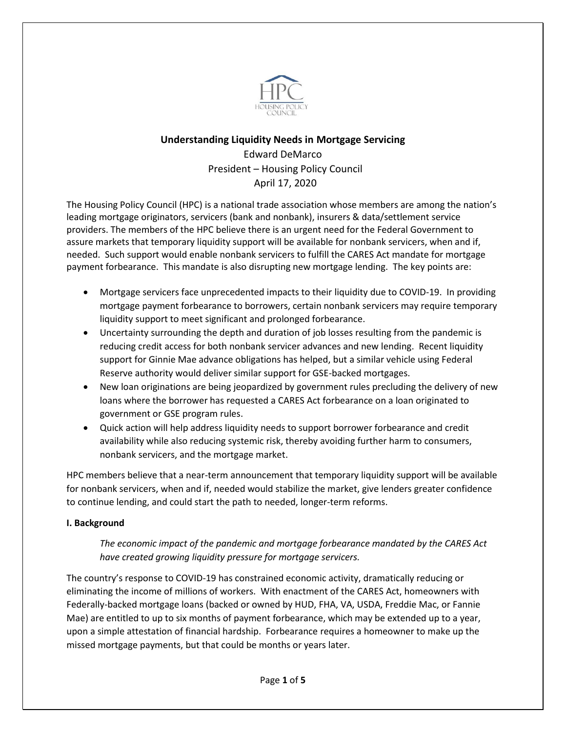

# **Understanding Liquidity Needs in Mortgage Servicing** Edward DeMarco President – Housing Policy Council April 17, 2020

The Housing Policy Council (HPC) is a national trade association whose members are among the nation's leading mortgage originators, servicers (bank and nonbank), insurers & data/settlement service providers. The members of the HPC believe there is an urgent need for the Federal Government to assure markets that temporary liquidity support will be available for nonbank servicers, when and if, needed. Such support would enable nonbank servicers to fulfill the CARES Act mandate for mortgage payment forbearance. This mandate is also disrupting new mortgage lending. The key points are:

- Mortgage servicers face unprecedented impacts to their liquidity due to COVID-19. In providing mortgage payment forbearance to borrowers, certain nonbank servicers may require temporary liquidity support to meet significant and prolonged forbearance.
- Uncertainty surrounding the depth and duration of job losses resulting from the pandemic is reducing credit access for both nonbank servicer advances and new lending. Recent liquidity support for Ginnie Mae advance obligations has helped, but a similar vehicle using Federal Reserve authority would deliver similar support for GSE-backed mortgages.
- New loan originations are being jeopardized by government rules precluding the delivery of new loans where the borrower has requested a CARES Act forbearance on a loan originated to government or GSE program rules.
- Quick action will help address liquidity needs to support borrower forbearance and credit availability while also reducing systemic risk, thereby avoiding further harm to consumers, nonbank servicers, and the mortgage market.

HPC members believe that a near-term announcement that temporary liquidity support will be available for nonbank servicers, when and if, needed would stabilize the market, give lenders greater confidence to continue lending, and could start the path to needed, longer-term reforms.

## **I. Background**

*The economic impact of the pandemic and mortgage forbearance mandated by the CARES Act have created growing liquidity pressure for mortgage servicers.*

The country's response to COVID-19 has constrained economic activity, dramatically reducing or eliminating the income of millions of workers. With enactment of the CARES Act, homeowners with Federally-backed mortgage loans (backed or owned by HUD, FHA, VA, USDA, Freddie Mac, or Fannie Mae) are entitled to up to six months of payment forbearance, which may be extended up to a year, upon a simple attestation of financial hardship. Forbearance requires a homeowner to make up the missed mortgage payments, but that could be months or years later.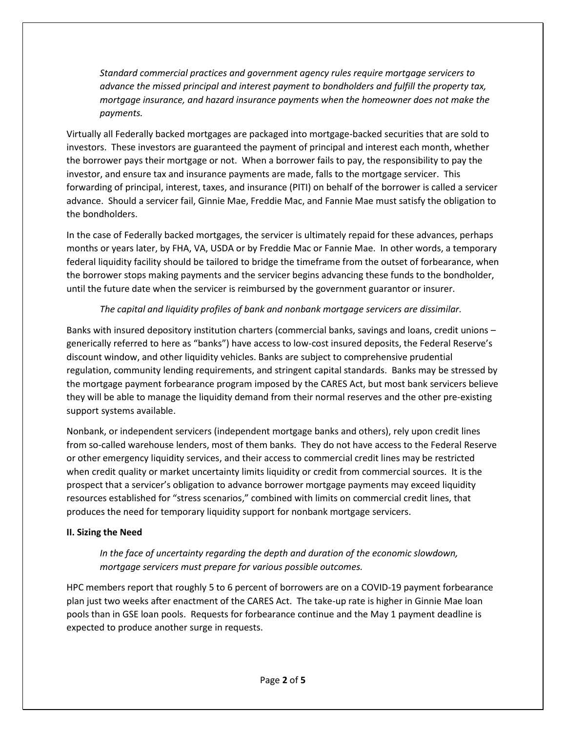*Standard commercial practices and government agency rules require mortgage servicers to advance the missed principal and interest payment to bondholders and fulfill the property tax, mortgage insurance, and hazard insurance payments when the homeowner does not make the payments.* 

Virtually all Federally backed mortgages are packaged into mortgage-backed securities that are sold to investors. These investors are guaranteed the payment of principal and interest each month, whether the borrower pays their mortgage or not. When a borrower fails to pay, the responsibility to pay the investor, and ensure tax and insurance payments are made, falls to the mortgage servicer. This forwarding of principal, interest, taxes, and insurance (PITI) on behalf of the borrower is called a servicer advance. Should a servicer fail, Ginnie Mae, Freddie Mac, and Fannie Mae must satisfy the obligation to the bondholders.

In the case of Federally backed mortgages, the servicer is ultimately repaid for these advances, perhaps months or years later, by FHA, VA, USDA or by Freddie Mac or Fannie Mae. In other words, a temporary federal liquidity facility should be tailored to bridge the timeframe from the outset of forbearance, when the borrower stops making payments and the servicer begins advancing these funds to the bondholder, until the future date when the servicer is reimbursed by the government guarantor or insurer.

## *The capital and liquidity profiles of bank and nonbank mortgage servicers are dissimilar.*

Banks with insured depository institution charters (commercial banks, savings and loans, credit unions – generically referred to here as "banks") have access to low-cost insured deposits, the Federal Reserve's discount window, and other liquidity vehicles. Banks are subject to comprehensive prudential regulation, community lending requirements, and stringent capital standards. Banks may be stressed by the mortgage payment forbearance program imposed by the CARES Act, but most bank servicers believe they will be able to manage the liquidity demand from their normal reserves and the other pre-existing support systems available.

Nonbank, or independent servicers (independent mortgage banks and others), rely upon credit lines from so-called warehouse lenders, most of them banks. They do not have access to the Federal Reserve or other emergency liquidity services, and their access to commercial credit lines may be restricted when credit quality or market uncertainty limits liquidity or credit from commercial sources. It is the prospect that a servicer's obligation to advance borrower mortgage payments may exceed liquidity resources established for "stress scenarios," combined with limits on commercial credit lines, that produces the need for temporary liquidity support for nonbank mortgage servicers.

## **II. Sizing the Need**

*In the face of uncertainty regarding the depth and duration of the economic slowdown, mortgage servicers must prepare for various possible outcomes.*

HPC members report that roughly 5 to 6 percent of borrowers are on a COVID-19 payment forbearance plan just two weeks after enactment of the CARES Act. The take-up rate is higher in Ginnie Mae loan pools than in GSE loan pools. Requests for forbearance continue and the May 1 payment deadline is expected to produce another surge in requests.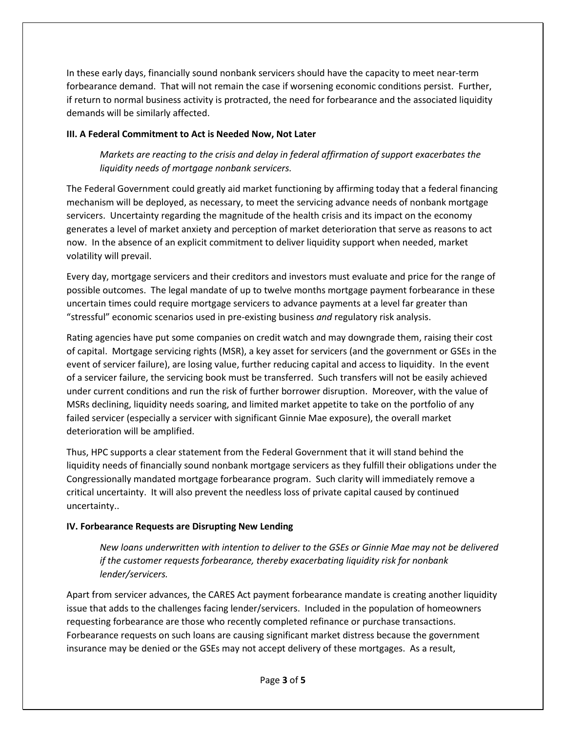In these early days, financially sound nonbank servicers should have the capacity to meet near-term forbearance demand. That will not remain the case if worsening economic conditions persist. Further, if return to normal business activity is protracted, the need for forbearance and the associated liquidity demands will be similarly affected.

### **III. A Federal Commitment to Act is Needed Now, Not Later**

*Markets are reacting to the crisis and delay in federal affirmation of support exacerbates the liquidity needs of mortgage nonbank servicers.* 

The Federal Government could greatly aid market functioning by affirming today that a federal financing mechanism will be deployed, as necessary, to meet the servicing advance needs of nonbank mortgage servicers. Uncertainty regarding the magnitude of the health crisis and its impact on the economy generates a level of market anxiety and perception of market deterioration that serve as reasons to act now. In the absence of an explicit commitment to deliver liquidity support when needed, market volatility will prevail.

Every day, mortgage servicers and their creditors and investors must evaluate and price for the range of possible outcomes. The legal mandate of up to twelve months mortgage payment forbearance in these uncertain times could require mortgage servicers to advance payments at a level far greater than "stressful" economic scenarios used in pre-existing business *and* regulatory risk analysis.

Rating agencies have put some companies on credit watch and may downgrade them, raising their cost of capital. Mortgage servicing rights (MSR), a key asset for servicers (and the government or GSEs in the event of servicer failure), are losing value, further reducing capital and access to liquidity. In the event of a servicer failure, the servicing book must be transferred. Such transfers will not be easily achieved under current conditions and run the risk of further borrower disruption. Moreover, with the value of MSRs declining, liquidity needs soaring, and limited market appetite to take on the portfolio of any failed servicer (especially a servicer with significant Ginnie Mae exposure), the overall market deterioration will be amplified.

Thus, HPC supports a clear statement from the Federal Government that it will stand behind the liquidity needs of financially sound nonbank mortgage servicers as they fulfill their obligations under the Congressionally mandated mortgage forbearance program. Such clarity will immediately remove a critical uncertainty. It will also prevent the needless loss of private capital caused by continued uncertainty..

## **IV. Forbearance Requests are Disrupting New Lending**

*New loans underwritten with intention to deliver to the GSEs or Ginnie Mae may not be delivered if the customer requests forbearance, thereby exacerbating liquidity risk for nonbank lender/servicers.*

Apart from servicer advances, the CARES Act payment forbearance mandate is creating another liquidity issue that adds to the challenges facing lender/servicers. Included in the population of homeowners requesting forbearance are those who recently completed refinance or purchase transactions. Forbearance requests on such loans are causing significant market distress because the government insurance may be denied or the GSEs may not accept delivery of these mortgages. As a result,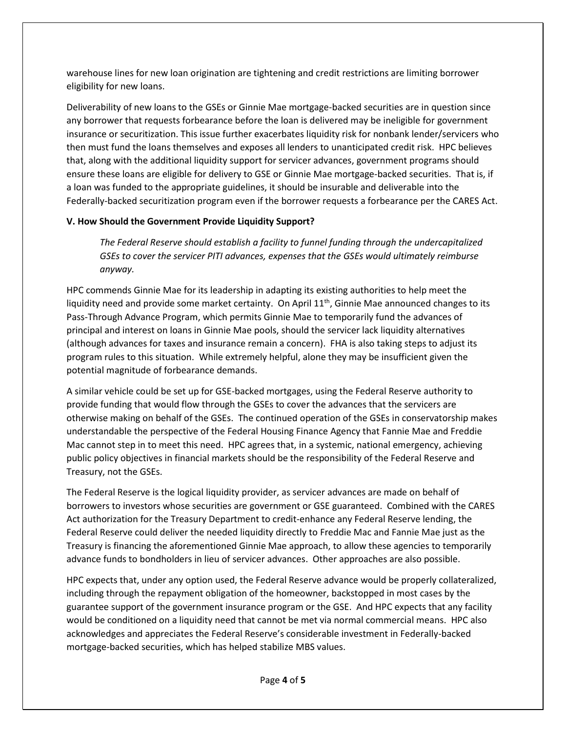warehouse lines for new loan origination are tightening and credit restrictions are limiting borrower eligibility for new loans.

Deliverability of new loans to the GSEs or Ginnie Mae mortgage-backed securities are in question since any borrower that requests forbearance before the loan is delivered may be ineligible for government insurance or securitization. This issue further exacerbates liquidity risk for nonbank lender/servicers who then must fund the loans themselves and exposes all lenders to unanticipated credit risk. HPC believes that, along with the additional liquidity support for servicer advances, government programs should ensure these loans are eligible for delivery to GSE or Ginnie Mae mortgage-backed securities. That is, if a loan was funded to the appropriate guidelines, it should be insurable and deliverable into the Federally-backed securitization program even if the borrower requests a forbearance per the CARES Act.

## **V. How Should the Government Provide Liquidity Support?**

*The Federal Reserve should establish a facility to funnel funding through the undercapitalized GSEs to cover the servicer PITI advances, expenses that the GSEs would ultimately reimburse anyway.* 

HPC commends Ginnie Mae for its leadership in adapting its existing authorities to help meet the liquidity need and provide some market certainty. On April  $11<sup>th</sup>$ , Ginnie Mae announced changes to its Pass-Through Advance Program, which permits Ginnie Mae to temporarily fund the advances of principal and interest on loans in Ginnie Mae pools, should the servicer lack liquidity alternatives (although advances for taxes and insurance remain a concern). FHA is also taking steps to adjust its program rules to this situation. While extremely helpful, alone they may be insufficient given the potential magnitude of forbearance demands.

A similar vehicle could be set up for GSE-backed mortgages, using the Federal Reserve authority to provide funding that would flow through the GSEs to cover the advances that the servicers are otherwise making on behalf of the GSEs. The continued operation of the GSEs in conservatorship makes understandable the perspective of the Federal Housing Finance Agency that Fannie Mae and Freddie Mac cannot step in to meet this need. HPC agrees that, in a systemic, national emergency, achieving public policy objectives in financial markets should be the responsibility of the Federal Reserve and Treasury, not the GSEs.

The Federal Reserve is the logical liquidity provider, as servicer advances are made on behalf of borrowers to investors whose securities are government or GSE guaranteed. Combined with the CARES Act authorization for the Treasury Department to credit-enhance any Federal Reserve lending, the Federal Reserve could deliver the needed liquidity directly to Freddie Mac and Fannie Mae just as the Treasury is financing the aforementioned Ginnie Mae approach, to allow these agencies to temporarily advance funds to bondholders in lieu of servicer advances. Other approaches are also possible.

HPC expects that, under any option used, the Federal Reserve advance would be properly collateralized, including through the repayment obligation of the homeowner, backstopped in most cases by the guarantee support of the government insurance program or the GSE. And HPC expects that any facility would be conditioned on a liquidity need that cannot be met via normal commercial means. HPC also acknowledges and appreciates the Federal Reserve's considerable investment in Federally-backed mortgage-backed securities, which has helped stabilize MBS values.